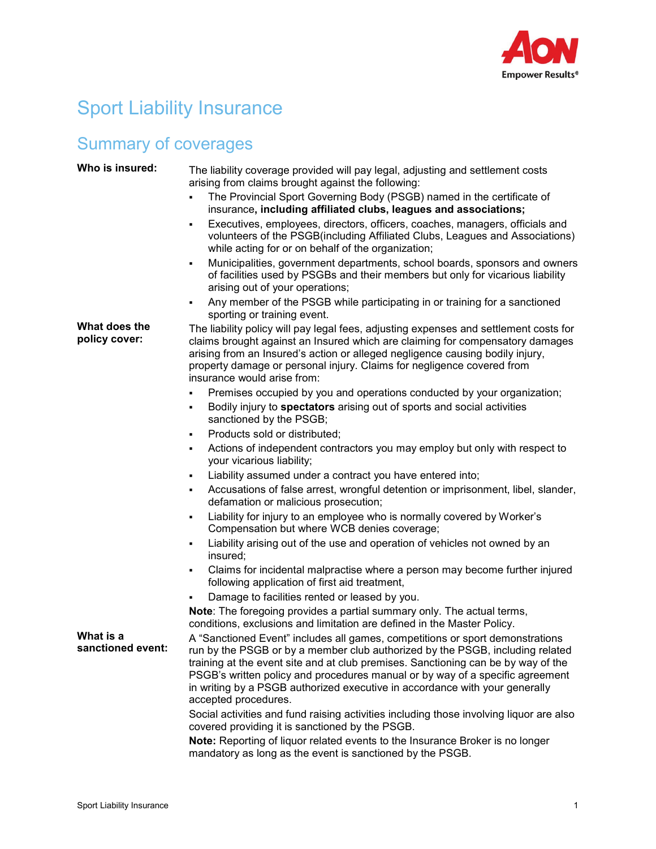

## Sport Liability Insurance

## Summary of coverages

| Who is insured:                | The liability coverage provided will pay legal, adjusting and settlement costs<br>arising from claims brought against the following:                                                                                                                                                                                                                                                                                                        |
|--------------------------------|---------------------------------------------------------------------------------------------------------------------------------------------------------------------------------------------------------------------------------------------------------------------------------------------------------------------------------------------------------------------------------------------------------------------------------------------|
|                                | The Provincial Sport Governing Body (PSGB) named in the certificate of<br>insurance, including affiliated clubs, leagues and associations;                                                                                                                                                                                                                                                                                                  |
|                                | Executives, employees, directors, officers, coaches, managers, officials and<br>٠<br>volunteers of the PSGB(including Affiliated Clubs, Leagues and Associations)<br>while acting for or on behalf of the organization;                                                                                                                                                                                                                     |
|                                | Municipalities, government departments, school boards, sponsors and owners<br>٠<br>of facilities used by PSGBs and their members but only for vicarious liability<br>arising out of your operations;                                                                                                                                                                                                                                        |
|                                | Any member of the PSGB while participating in or training for a sanctioned<br>sporting or training event.                                                                                                                                                                                                                                                                                                                                   |
| What does the<br>policy cover: | The liability policy will pay legal fees, adjusting expenses and settlement costs for<br>claims brought against an Insured which are claiming for compensatory damages<br>arising from an Insured's action or alleged negligence causing bodily injury,<br>property damage or personal injury. Claims for negligence covered from<br>insurance would arise from:                                                                            |
|                                | Premises occupied by you and operations conducted by your organization;                                                                                                                                                                                                                                                                                                                                                                     |
|                                | Bodily injury to spectators arising out of sports and social activities<br>٠<br>sanctioned by the PSGB;                                                                                                                                                                                                                                                                                                                                     |
|                                | Products sold or distributed;<br>٠                                                                                                                                                                                                                                                                                                                                                                                                          |
|                                | Actions of independent contractors you may employ but only with respect to<br>٠<br>your vicarious liability;                                                                                                                                                                                                                                                                                                                                |
|                                | Liability assumed under a contract you have entered into;                                                                                                                                                                                                                                                                                                                                                                                   |
|                                | Accusations of false arrest, wrongful detention or imprisonment, libel, slander,<br>defamation or malicious prosecution;                                                                                                                                                                                                                                                                                                                    |
|                                | Liability for injury to an employee who is normally covered by Worker's<br>Compensation but where WCB denies coverage;                                                                                                                                                                                                                                                                                                                      |
|                                | Liability arising out of the use and operation of vehicles not owned by an<br>٠<br>insured;                                                                                                                                                                                                                                                                                                                                                 |
|                                | Claims for incidental malpractise where a person may become further injured<br>٠<br>following application of first aid treatment,                                                                                                                                                                                                                                                                                                           |
|                                | Damage to facilities rented or leased by you.                                                                                                                                                                                                                                                                                                                                                                                               |
|                                | Note: The foregoing provides a partial summary only. The actual terms,<br>conditions, exclusions and limitation are defined in the Master Policy.                                                                                                                                                                                                                                                                                           |
| What is a<br>sanctioned event: | A "Sanctioned Event" includes all games, competitions or sport demonstrations<br>run by the PSGB or by a member club authorized by the PSGB, including related<br>training at the event site and at club premises. Sanctioning can be by way of the<br>PSGB's written policy and procedures manual or by way of a specific agreement<br>in writing by a PSGB authorized executive in accordance with your generally<br>accepted procedures. |
|                                | Social activities and fund raising activities including those involving liquor are also<br>covered providing it is sanctioned by the PSGB.                                                                                                                                                                                                                                                                                                  |
|                                | Note: Reporting of liquor related events to the Insurance Broker is no longer<br>mandatory as long as the event is sanctioned by the PSGB.                                                                                                                                                                                                                                                                                                  |